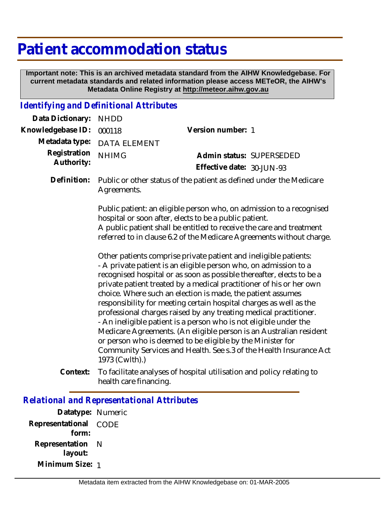## **Patient accommodation status**

 **Important note: This is an archived metadata standard from the AIHW Knowledgebase. For current metadata standards and related information please access METeOR, the AIHW's Metadata Online Registry at http://meteor.aihw.gov.au**

## *Identifying and Definitional Attributes*

| Data Dictionary:           | <b>NHDD</b>                                                                                                                                                                                                                                                                                                                                                                                                                                                                                                                                                                                                                                                                                                                                                                                     |                                                                       |  |
|----------------------------|-------------------------------------------------------------------------------------------------------------------------------------------------------------------------------------------------------------------------------------------------------------------------------------------------------------------------------------------------------------------------------------------------------------------------------------------------------------------------------------------------------------------------------------------------------------------------------------------------------------------------------------------------------------------------------------------------------------------------------------------------------------------------------------------------|-----------------------------------------------------------------------|--|
| Knowledgebase ID:          | 000118                                                                                                                                                                                                                                                                                                                                                                                                                                                                                                                                                                                                                                                                                                                                                                                          | Version number: 1                                                     |  |
| Metadata type:             | <b>DATA ELEMENT</b>                                                                                                                                                                                                                                                                                                                                                                                                                                                                                                                                                                                                                                                                                                                                                                             |                                                                       |  |
| Registration<br>Authority: | <b>NHIMG</b>                                                                                                                                                                                                                                                                                                                                                                                                                                                                                                                                                                                                                                                                                                                                                                                    | Admin status: SUPERSEDED<br>Effective date: 30-JUN-93                 |  |
| Definition:                | Agreements.                                                                                                                                                                                                                                                                                                                                                                                                                                                                                                                                                                                                                                                                                                                                                                                     | Public or other status of the patient as defined under the Medicare   |  |
|                            | Public patient: an eligible person who, on admission to a recognised<br>hospital or soon after, elects to be a public patient.<br>A public patient shall be entitled to receive the care and treatment<br>referred to in clause 6.2 of the Medicare Agreements without charge.                                                                                                                                                                                                                                                                                                                                                                                                                                                                                                                  |                                                                       |  |
|                            | Other patients comprise private patient and ineligible patients:<br>- A private patient is an eligible person who, on admission to a<br>recognised hospital or as soon as possible thereafter, elects to be a<br>private patient treated by a medical practitioner of his or her own<br>choice. Where such an election is made, the patient assumes<br>responsibility for meeting certain hospital charges as well as the<br>professional charges raised by any treating medical practitioner.<br>- An ineligible patient is a person who is not eligible under the<br>Medicare Agreements. (An eligible person is an Australian resident<br>or person who is deemed to be eligible by the Minister for<br>Community Services and Health. See s.3 of the Health Insurance Act<br>1973 (Cwlth).) |                                                                       |  |
| Context:                   | health care financing.                                                                                                                                                                                                                                                                                                                                                                                                                                                                                                                                                                                                                                                                                                                                                                          | To facilitate analyses of hospital utilisation and policy relating to |  |

## *Relational and Representational Attributes*

**Datatype:** Numeric **Representational** CODE  **form: Representation** N  **layout: Minimum Size:** 1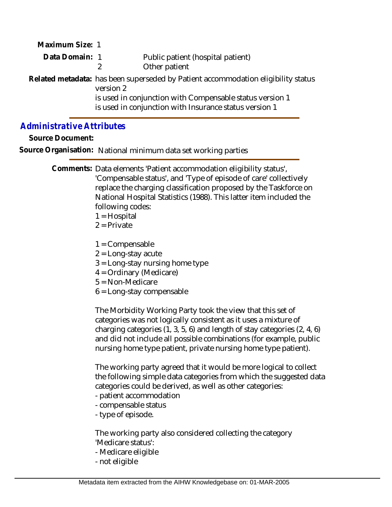| Maximum Size: 1 |                                                                                                |                                                        |  |
|-----------------|------------------------------------------------------------------------------------------------|--------------------------------------------------------|--|
| Data Domain: 1  |                                                                                                | Public patient (hospital patient)                      |  |
|                 |                                                                                                | Other patient                                          |  |
|                 | Related metadata: has been superseded by Patient accommodation eligibility status<br>version 2 |                                                        |  |
|                 | is used in conjunction with Compensable status version 1                                       |                                                        |  |
|                 |                                                                                                | is used in conjunction with Insurance status version 1 |  |

## *Administrative Attributes*

**Source Document:**

**Source Organisation:** National minimum data set working parties

Comments: Data elements 'Patient accommodation eligibility status', 'Compensable status', and 'Type of episode of care' collectively replace the charging classification proposed by the Taskforce on National Hospital Statistics (1988). This latter item included the following codes:

- 1 = Hospital
- $2$  = Private
- 1 = Compensable
- $2$  = Long-stay acute
- 3 = Long-stay nursing home type
- 4 = Ordinary (Medicare)
- 5 = Non-Medicare
- 6 = Long-stay compensable

The Morbidity Working Party took the view that this set of categories was not logically consistent as it uses a mixture of charging categories (1, 3, 5, 6) and length of stay categories (2, 4, 6) and did not include all possible combinations (for example, public nursing home type patient, private nursing home type patient).

The working party agreed that it would be more logical to collect the following simple data categories from which the suggested data categories could be derived, as well as other categories:

- patient accommodation
- compensable status
- type of episode.

The working party also considered collecting the category 'Medicare status':

- Medicare eligible
- not eligible